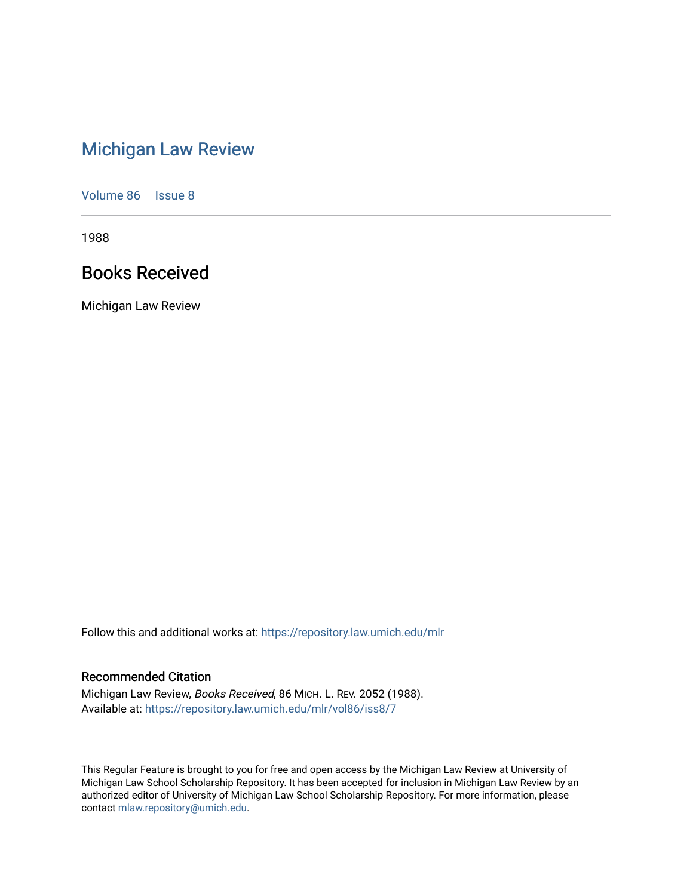# [Michigan Law Review](https://repository.law.umich.edu/mlr)

[Volume 86](https://repository.law.umich.edu/mlr/vol86) | [Issue 8](https://repository.law.umich.edu/mlr/vol86/iss8)

1988

# Books Received

Michigan Law Review

Follow this and additional works at: [https://repository.law.umich.edu/mlr](https://repository.law.umich.edu/mlr?utm_source=repository.law.umich.edu%2Fmlr%2Fvol86%2Fiss8%2F7&utm_medium=PDF&utm_campaign=PDFCoverPages) 

# Recommended Citation

Michigan Law Review, Books Received, 86 MICH. L. REV. 2052 (1988). Available at: [https://repository.law.umich.edu/mlr/vol86/iss8/7](https://repository.law.umich.edu/mlr/vol86/iss8/7?utm_source=repository.law.umich.edu%2Fmlr%2Fvol86%2Fiss8%2F7&utm_medium=PDF&utm_campaign=PDFCoverPages)

This Regular Feature is brought to you for free and open access by the Michigan Law Review at University of Michigan Law School Scholarship Repository. It has been accepted for inclusion in Michigan Law Review by an authorized editor of University of Michigan Law School Scholarship Repository. For more information, please contact [mlaw.repository@umich.edu](mailto:mlaw.repository@umich.edu).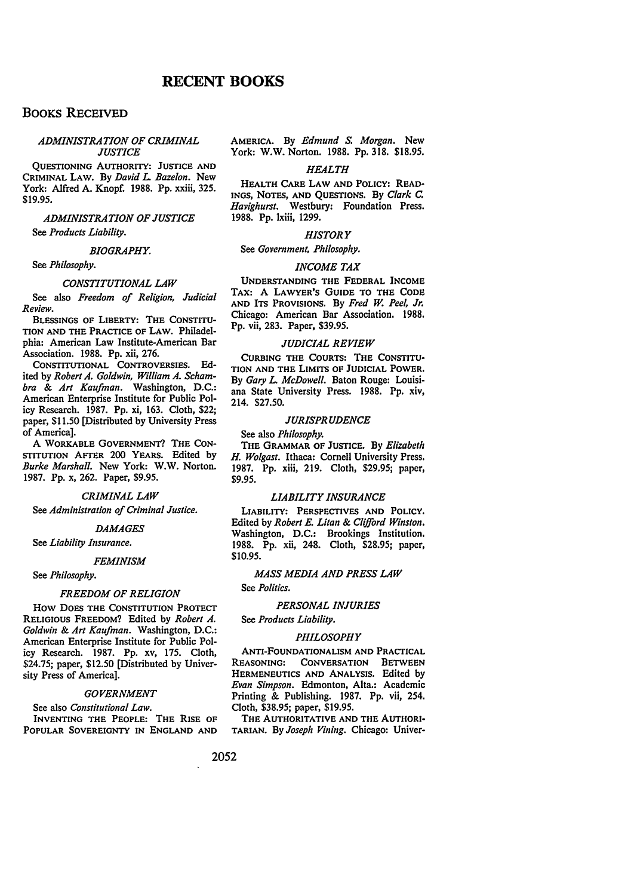## **BOOKS RECEIVED**

#### *ADMINISTRATION OF CRIMINAL JUSTICE*

QUESTIONING AUTHORITY: JUSTICE AND CRIMINAL LAW. By *David* L *Baze/on.* New York: Alfred A. Knopf. 1988. Pp. xxiii, 325. \$19.95.

### *ADMINISTRATION OF JUSTICE*  See *Products Liability.*

#### *BIOGRAPHY.*

See *Philosophy.* 

#### *CONSTITUTIONAL LAW*

See also *Freedom of Religion, Judicial Review.* 

BLESSINGS OF LIBERTY: THE CONSTITU-TION AND THE PRACTICE OF LAW. Philadelphia: American Law Institute-American Bar Association. 1988. Pp. xii, 276.

CONSTITUTIONAL CONTROVERSIES. Edited by *Robert A. Goldwin, William A. Schambra* & *Art Kaufman.* Washington, D.C.: American Enterprise Institute for Public Policy Research. 1987. Pp. xi, 163. Cloth, \$22; paper, \$11.50 [Distributed by University Press of America].

A WORKABLE GOVERNMENT? THE CON-STITUTION AFrER 200 YEARS. Edited by *Burke Marshall.* New York: W.W. Norton. 1987. Pp. x, 262. Paper, \$9.95.

#### *CRIMINAL LAW*

See *Administration of Criminal Justice.* 

#### *DAMAGES*

See *Liability Insurance.* 

#### *FEMINISM*

See *Philosophy.* 

#### *FREEDOM OF RELIGION*

How DOES THE CONSTITUTION PROTECT RELIGIOUS FREEDOM? Edited by *Robert A. Goldwin* & *Art Kaufman.* Washington, D.C.: American Enterprise Institute for Public Policy Research. 1987. Pp. xv, 175. Cloth, \$24.75; paper, \$12.50 [Distributed by University Press of America].

#### *GOVERNMENT*

See also *Constitutional Law.*  INVENTING THE PEOPLE: THE RISE OF POPULAR SOVEREIGNTY IN ENGLAND AND AMERICA. By *Edmund s. Morgan.* New York: W.W. Norton. 1988. Pp. 318. \$18.95.

#### *HEALTH*

HEALTH CARE LAW AND POLICY: READ-INGS, NOTES, AND QUESTIONS. By *Clark c. Havighurst.* Westbury: Foundation Press. 1988. Pp. lxiii, 1299.

#### *HISTORY*

#### See *Government, Philosophy.*

#### *INCOME TAX*

UNDERSTANDING THE FEDERAL INCOME TAX: A LAWYER'S GUIDE TO THE CODE AND ITS PROVISIONS. By *Fred w. Peel, Jr.*  Chicago: American Bar Association. 1988. Pp. vii, 283. Paper, \$39.95.

#### *JUDICIAL REVIEW*

CURBING THE COURTS: THE CONSTITU-TION AND THE LIMITS OF JUDICIAL POWER. By *Gary* L *McDowell.* Baton Rouge: Louisiana State University Press. 1988. Pp. xiv, 214. \$27.50.

#### *JURISPRUDENCE*

See also *Philosophy.* 

THE GRAMMAR OF JUSTICE. By *Elizabeth H. Wolgast.* Ithaca: Cornell University Press. 1987. Pp. xiii, 219. Cloth, \$29.95; paper, \$9.95.

#### *LIABILITY INSURANCE*

LIABILITY: PERSPECTIVES AND POLICY. Edited by *Robert E. Litan* & *Clifford Winston.*  Washington, D.C.: Brookings Institution. 1988. Pp. xii, 248. Cloth, \$28.95; paper, \$10.95.

#### *MASS MEDIA AND PRESS LAW*

See *Politics.* 

#### *PERSONAL INJURIES*

See *Products Liability.* 

#### *PHILOSOPHY*

ANTI-FOUNDATIONALISM AND PRACTICAL REASONING: CONVERSATION BETWEEN HERMENEUTICS AND ANALYSIS. Edited by *Evan Simpson.* Edmonton, Alta.: Academic Printing & Publishing. 1987. Pp. vii, 254. Cloth, \$38.95; paper, \$19.95.

THE AUTHORITATIVE AND THE AUTHORI-TARIAN. By *Joseph Vining.* Chicago: Univer